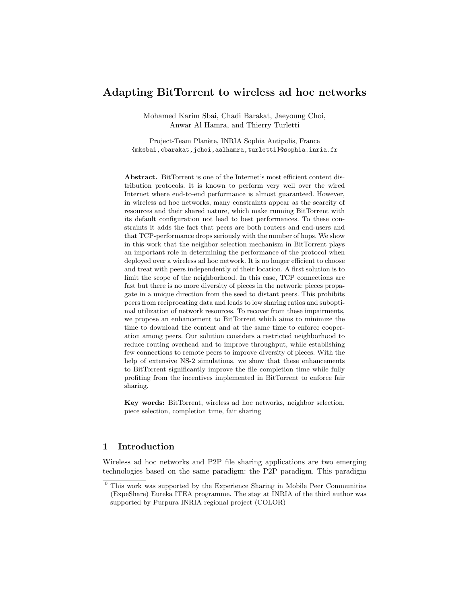# Adapting BitTorrent to wireless ad hoc networks

Mohamed Karim Sbai, Chadi Barakat, Jaeyoung Choi, Anwar Al Hamra, and Thierry Turletti

Project-Team Planète, INRIA Sophia Antipolis, France {mksbai,cbarakat,jchoi,aalhamra,turletti}@sophia.inria.fr

Abstract. BitTorrent is one of the Internet's most efficient content distribution protocols. It is known to perform very well over the wired Internet where end-to-end performance is almost guaranteed. However, in wireless ad hoc networks, many constraints appear as the scarcity of resources and their shared nature, which make running BitTorrent with its default configuration not lead to best performances. To these constraints it adds the fact that peers are both routers and end-users and that TCP-performance drops seriously with the number of hops. We show in this work that the neighbor selection mechanism in BitTorrent plays an important role in determining the performance of the protocol when deployed over a wireless ad hoc network. It is no longer efficient to choose and treat with peers independently of their location. A first solution is to limit the scope of the neighborhood. In this case, TCP connections are fast but there is no more diversity of pieces in the network: pieces propagate in a unique direction from the seed to distant peers. This prohibits peers from reciprocating data and leads to low sharing ratios and suboptimal utilization of network resources. To recover from these impairments, we propose an enhancement to BitTorrent which aims to minimize the time to download the content and at the same time to enforce cooperation among peers. Our solution considers a restricted neighborhood to reduce routing overhead and to improve throughput, while establishing few connections to remote peers to improve diversity of pieces. With the help of extensive NS-2 simulations, we show that these enhancements to BitTorrent significantly improve the file completion time while fully profiting from the incentives implemented in BitTorrent to enforce fair sharing.

Key words: BitTorrent, wireless ad hoc networks, neighbor selection, piece selection, completion time, fair sharing

# 1 Introduction

Wireless ad hoc networks and P2P file sharing applications are two emerging technologies based on the same paradigm: the P2P paradigm. This paradigm

 $<sup>0</sup>$  This work was supported by the Experience Sharing in Mobile Peer Communities</sup> (ExpeShare) Eureka ITEA programme. The stay at INRIA of the third author was supported by Purpura INRIA regional project (COLOR)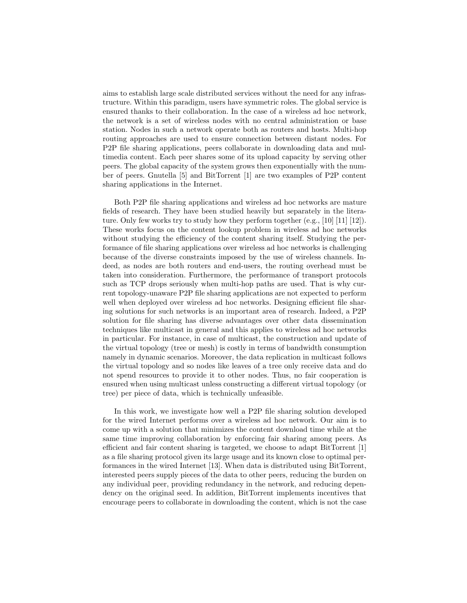aims to establish large scale distributed services without the need for any infrastructure. Within this paradigm, users have symmetric roles. The global service is ensured thanks to their collaboration. In the case of a wireless ad hoc network, the network is a set of wireless nodes with no central administration or base station. Nodes in such a network operate both as routers and hosts. Multi-hop routing approaches are used to ensure connection between distant nodes. For P2P file sharing applications, peers collaborate in downloading data and multimedia content. Each peer shares some of its upload capacity by serving other peers. The global capacity of the system grows then exponentially with the number of peers. Gnutella [5] and BitTorrent [1] are two examples of P2P content sharing applications in the Internet.

Both P2P file sharing applications and wireless ad hoc networks are mature fields of research. They have been studied heavily but separately in the literature. Only few works try to study how they perform together (e.g., [10] [11] [12]). These works focus on the content lookup problem in wireless ad hoc networks without studying the efficiency of the content sharing itself. Studying the performance of file sharing applications over wireless ad hoc networks is challenging because of the diverse constraints imposed by the use of wireless channels. Indeed, as nodes are both routers and end-users, the routing overhead must be taken into consideration. Furthermore, the performance of transport protocols such as TCP drops seriously when multi-hop paths are used. That is why current topology-unaware P2P file sharing applications are not expected to perform well when deployed over wireless ad hoc networks. Designing efficient file sharing solutions for such networks is an important area of research. Indeed, a P2P solution for file sharing has diverse advantages over other data dissemination techniques like multicast in general and this applies to wireless ad hoc networks in particular. For instance, in case of multicast, the construction and update of the virtual topology (tree or mesh) is costly in terms of bandwidth consumption namely in dynamic scenarios. Moreover, the data replication in multicast follows the virtual topology and so nodes like leaves of a tree only receive data and do not spend resources to provide it to other nodes. Thus, no fair cooperation is ensured when using multicast unless constructing a different virtual topology (or tree) per piece of data, which is technically unfeasible.

In this work, we investigate how well a P2P file sharing solution developed for the wired Internet performs over a wireless ad hoc network. Our aim is to come up with a solution that minimizes the content download time while at the same time improving collaboration by enforcing fair sharing among peers. As efficient and fair content sharing is targeted, we choose to adapt BitTorrent [1] as a file sharing protocol given its large usage and its known close to optimal performances in the wired Internet [13]. When data is distributed using BitTorrent, interested peers supply pieces of the data to other peers, reducing the burden on any individual peer, providing redundancy in the network, and reducing dependency on the original seed. In addition, BitTorrent implements incentives that encourage peers to collaborate in downloading the content, which is not the case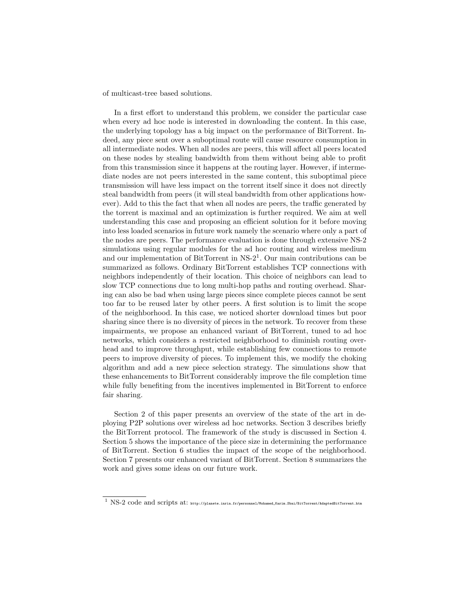of multicast-tree based solutions.

In a first effort to understand this problem, we consider the particular case when every ad hoc node is interested in downloading the content. In this case, the underlying topology has a big impact on the performance of BitTorrent. Indeed, any piece sent over a suboptimal route will cause resource consumption in all intermediate nodes. When all nodes are peers, this will affect all peers located on these nodes by stealing bandwidth from them without being able to profit from this transmission since it happens at the routing layer. However, if intermediate nodes are not peers interested in the same content, this suboptimal piece transmission will have less impact on the torrent itself since it does not directly steal bandwidth from peers (it will steal bandwidth from other applications however). Add to this the fact that when all nodes are peers, the traffic generated by the torrent is maximal and an optimization is further required. We aim at well understanding this case and proposing an efficient solution for it before moving into less loaded scenarios in future work namely the scenario where only a part of the nodes are peers. The performance evaluation is done through extensive NS-2 simulations using regular modules for the ad hoc routing and wireless medium and our implementation of BitTorrent in NS-2<sup>1</sup>. Our main contributions can be summarized as follows. Ordinary BitTorrent establishes TCP connections with neighbors independently of their location. This choice of neighbors can lead to slow TCP connections due to long multi-hop paths and routing overhead. Sharing can also be bad when using large pieces since complete pieces cannot be sent too far to be reused later by other peers. A first solution is to limit the scope of the neighborhood. In this case, we noticed shorter download times but poor sharing since there is no diversity of pieces in the network. To recover from these impairments, we propose an enhanced variant of BitTorrent, tuned to ad hoc networks, which considers a restricted neighborhood to diminish routing overhead and to improve throughput, while establishing few connections to remote peers to improve diversity of pieces. To implement this, we modify the choking algorithm and add a new piece selection strategy. The simulations show that these enhancements to BitTorrent considerably improve the file completion time while fully benefiting from the incentives implemented in BitTorrent to enforce fair sharing.

Section 2 of this paper presents an overview of the state of the art in deploying P2P solutions over wireless ad hoc networks. Section 3 describes briefly the BitTorrent protocol. The framework of the study is discussed in Section 4. Section 5 shows the importance of the piece size in determining the performance of BitTorrent. Section 6 studies the impact of the scope of the neighborhood. Section 7 presents our enhanced variant of BitTorrent. Section 8 summarizes the work and gives some ideas on our future work.

 $1$  NS-2 code and scripts at: http://planete.inria.fr/personnel/Mohamed\_Karim.Sbai/BitTorrent/AdaptedBitTorrent.htm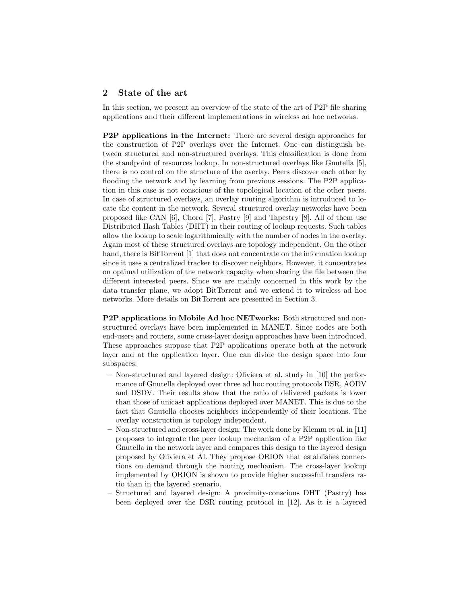# 2 State of the art

In this section, we present an overview of the state of the art of P2P file sharing applications and their different implementations in wireless ad hoc networks.

P2P applications in the Internet: There are several design approaches for the construction of P2P overlays over the Internet. One can distinguish between structured and non-structured overlays. This classification is done from the standpoint of resources lookup. In non-structured overlays like Gnutella [5], there is no control on the structure of the overlay. Peers discover each other by flooding the network and by learning from previous sessions. The P2P application in this case is not conscious of the topological location of the other peers. In case of structured overlays, an overlay routing algorithm is introduced to locate the content in the network. Several structured overlay networks have been proposed like CAN [6], Chord [7], Pastry [9] and Tapestry [8]. All of them use Distributed Hash Tables (DHT) in their routing of lookup requests. Such tables allow the lookup to scale logarithmically with the number of nodes in the overlay. Again most of these structured overlays are topology independent. On the other hand, there is BitTorrent [1] that does not concentrate on the information lookup since it uses a centralized tracker to discover neighbors. However, it concentrates on optimal utilization of the network capacity when sharing the file between the different interested peers. Since we are mainly concerned in this work by the data transfer plane, we adopt BitTorrent and we extend it to wireless ad hoc networks. More details on BitTorrent are presented in Section 3.

P2P applications in Mobile Ad hoc NETworks: Both structured and nonstructured overlays have been implemented in MANET. Since nodes are both end-users and routers, some cross-layer design approaches have been introduced. These approaches suppose that P2P applications operate both at the network layer and at the application layer. One can divide the design space into four subspaces:

- Non-structured and layered design: Oliviera et al. study in [10] the performance of Gnutella deployed over three ad hoc routing protocols DSR, AODV and DSDV. Their results show that the ratio of delivered packets is lower than those of unicast applications deployed over MANET. This is due to the fact that Gnutella chooses neighbors independently of their locations. The overlay construction is topology independent.
- Non-structured and cross-layer design: The work done by Klemm et al. in [11] proposes to integrate the peer lookup mechanism of a P2P application like Gnutella in the network layer and compares this design to the layered design proposed by Oliviera et Al. They propose ORION that establishes connections on demand through the routing mechanism. The cross-layer lookup implemented by ORION is shown to provide higher successful transfers ratio than in the layered scenario.
- Structured and layered design: A proximity-conscious DHT (Pastry) has been deployed over the DSR routing protocol in [12]. As it is a layered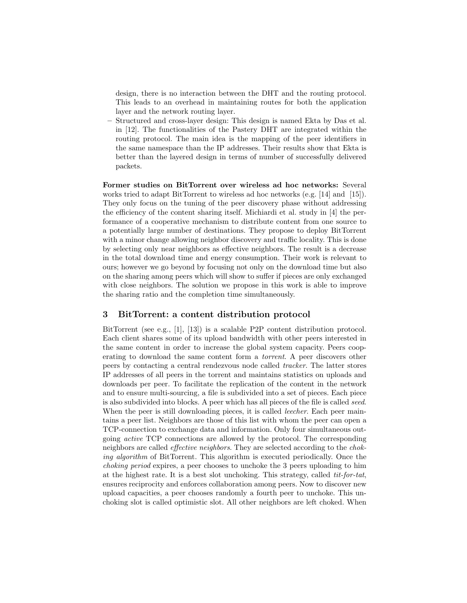design, there is no interaction between the DHT and the routing protocol. This leads to an overhead in maintaining routes for both the application layer and the network routing layer.

– Structured and cross-layer design: This design is named Ekta by Das et al. in [12]. The functionalities of the Pastery DHT are integrated within the routing protocol. The main idea is the mapping of the peer identifiers in the same namespace than the IP addresses. Their results show that Ekta is better than the layered design in terms of number of successfully delivered packets.

Former studies on BitTorrent over wireless ad hoc networks: Several works tried to adapt BitTorrent to wireless ad hoc networks (e.g. [14] and [15]). They only focus on the tuning of the peer discovery phase without addressing the efficiency of the content sharing itself. Michiardi et al. study in [4] the performance of a cooperative mechanism to distribute content from one source to a potentially large number of destinations. They propose to deploy BitTorrent with a minor change allowing neighbor discovery and traffic locality. This is done by selecting only near neighbors as effective neighbors. The result is a decrease in the total download time and energy consumption. Their work is relevant to ours; however we go beyond by focusing not only on the download time but also on the sharing among peers which will show to suffer if pieces are only exchanged with close neighbors. The solution we propose in this work is able to improve the sharing ratio and the completion time simultaneously.

### 3 BitTorrent: a content distribution protocol

BitTorrent (see e.g., [1], [13]) is a scalable P2P content distribution protocol. Each client shares some of its upload bandwidth with other peers interested in the same content in order to increase the global system capacity. Peers cooperating to download the same content form a torrent. A peer discovers other peers by contacting a central rendezvous node called tracker. The latter stores IP addresses of all peers in the torrent and maintains statistics on uploads and downloads per peer. To facilitate the replication of the content in the network and to ensure multi-sourcing, a file is subdivided into a set of pieces. Each piece is also subdivided into blocks. A peer which has all pieces of the file is called seed. When the peer is still downloading pieces, it is called *leecher*. Each peer maintains a peer list. Neighbors are those of this list with whom the peer can open a TCP-connection to exchange data and information. Only four simultaneous outgoing active TCP connections are allowed by the protocol. The corresponding neighbors are called effective neighbors. They are selected according to the choking algorithm of BitTorrent. This algorithm is executed periodically. Once the choking period expires, a peer chooses to unchoke the 3 peers uploading to him at the highest rate. It is a best slot unchoking. This strategy, called tit-for-tat, ensures reciprocity and enforces collaboration among peers. Now to discover new upload capacities, a peer chooses randomly a fourth peer to unchoke. This unchoking slot is called optimistic slot. All other neighbors are left choked. When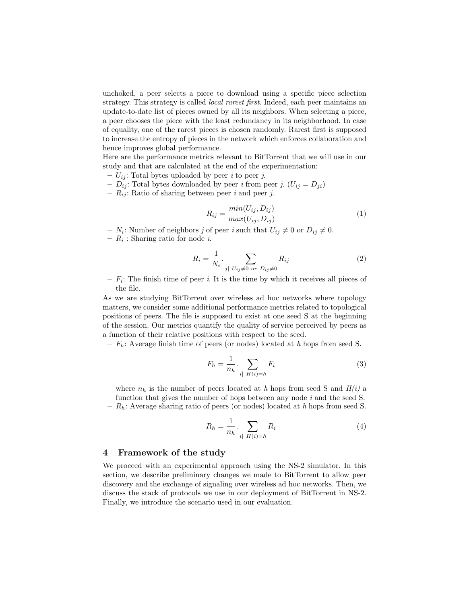unchoked, a peer selects a piece to download using a specific piece selection strategy. This strategy is called *local rarest first*. Indeed, each peer maintains an update-to-date list of pieces owned by all its neighbors. When selecting a piece, a peer chooses the piece with the least redundancy in its neighborhood. In case of equality, one of the rarest pieces is chosen randomly. Rarest first is supposed to increase the entropy of pieces in the network which enforces collaboration and hence improves global performance.

Here are the performance metrics relevant to BitTorrent that we will use in our study and that are calculated at the end of the experimentation:

- $U_{ij}$ : Total bytes uploaded by peer i to peer j.
- $D_{ij}$ : Total bytes downloaded by peer *i* from peer *j*.  $(U_{ij} = D_{ji})$
- $R_{ij}$ : Ratio of sharing between peer i and peer j.

$$
R_{ij} = \frac{\min(U_{ij}, D_{ij})}{\max(U_{ij}, D_{ij})}
$$
\n<sup>(1)</sup>

- $N_i$ : Number of neighbors j of peer i such that  $U_{ij} \neq 0$  or  $D_{ij} \neq 0$ .
- $R_i$ : Sharing ratio for node *i*.

$$
R_i = \frac{1}{N_i} \sum_{j \mid U_{ij} \neq 0 \text{ or } D_{ij} \neq 0} R_{ij}
$$
 (2)

 $-F_i$ : The finish time of peer *i*. It is the time by which it receives all pieces of the file.

As we are studying BitTorrent over wireless ad hoc networks where topology matters, we consider some additional performance metrics related to topological positions of peers. The file is supposed to exist at one seed S at the beginning of the session. Our metrics quantify the quality of service perceived by peers as a function of their relative positions with respect to the seed.

–  $F_h$ : Average finish time of peers (or nodes) located at h hops from seed S.

$$
F_h = \frac{1}{n_h} \sum_{i \mid H(i) = h} F_i \tag{3}
$$

where  $n_h$  is the number of peers located at h hops from seed S and  $H(i)$  a function that gives the number of hops between any node  $i$  and the seed S. –  $R_h$ : Average sharing ratio of peers (or nodes) located at h hops from seed S.

$$
R_h = \frac{1}{n_h} \cdot \sum_{i \mid H(i) = h} R_i \tag{4}
$$

### 4 Framework of the study

We proceed with an experimental approach using the NS-2 simulator. In this section, we describe preliminary changes we made to BitTorrent to allow peer discovery and the exchange of signaling over wireless ad hoc networks. Then, we discuss the stack of protocols we use in our deployment of BitTorrent in NS-2. Finally, we introduce the scenario used in our evaluation.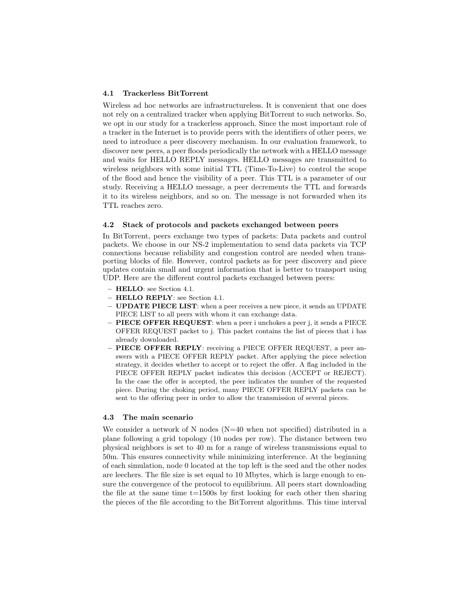#### 4.1 Trackerless BitTorrent

Wireless ad hoc networks are infrastructureless. It is convenient that one does not rely on a centralized tracker when applying BitTorrent to such networks. So, we opt in our study for a trackerless approach. Since the most important role of a tracker in the Internet is to provide peers with the identifiers of other peers, we need to introduce a peer discovery mechanism. In our evaluation framework, to discover new peers, a peer floods periodically the network with a HELLO message and waits for HELLO REPLY messages. HELLO messages are transmitted to wireless neighbors with some initial TTL (Time-To-Live) to control the scope of the flood and hence the visibility of a peer. This TTL is a parameter of our study. Receiving a HELLO message, a peer decrements the TTL and forwards it to its wireless neighbors, and so on. The message is not forwarded when its TTL reaches zero.

#### 4.2 Stack of protocols and packets exchanged between peers

In BitTorrent, peers exchange two types of packets: Data packets and control packets. We choose in our NS-2 implementation to send data packets via TCP connections because reliability and congestion control are needed when transporting blocks of file. However, control packets as for peer discovery and piece updates contain small and urgent information that is better to transport using UDP. Here are the different control packets exchanged between peers:

- HELLO: see Section 4.1.
- HELLO REPLY: see Section 4.1.
- UPDATE PIECE LIST: when a peer receives a new piece, it sends an UPDATE PIECE LIST to all peers with whom it can exchange data.
- $-$  PIECE OFFER REQUEST: when a peer i unchokes a peer j, it sends a PIECE OFFER REQUEST packet to j. This packet contains the list of pieces that i has already downloaded.
- PIECE OFFER REPLY: receiving a PIECE OFFER REQUEST, a peer answers with a PIECE OFFER REPLY packet. After applying the piece selection strategy, it decides whether to accept or to reject the offer. A flag included in the PIECE OFFER REPLY packet indicates this decision (ACCEPT or REJECT). In the case the offer is accepted, the peer indicates the number of the requested piece. During the choking period, many PIECE OFFER REPLY packets can be sent to the offering peer in order to allow the transmission of several pieces.

#### 4.3 The main scenario

We consider a network of N nodes  $(N=40)$  when not specified) distributed in a plane following a grid topology (10 nodes per row). The distance between two physical neighbors is set to 40 m for a range of wireless transmissions equal to 50m. This ensures connectivity while minimizing interference. At the beginning of each simulation, node 0 located at the top left is the seed and the other nodes are leechers. The file size is set equal to 10 Mbytes, which is large enough to ensure the convergence of the protocol to equilibrium. All peers start downloading the file at the same time  $t=1500s$  by first looking for each other then sharing the pieces of the file according to the BitTorrent algorithms. This time interval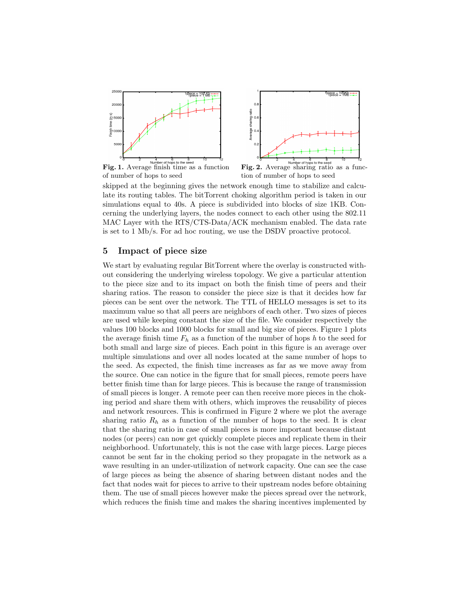

of number of hops to seed

Fig. 2. Average sharing ratio as a function of number of hops to seed

skipped at the beginning gives the network enough time to stabilize and calculate its routing tables. The bitTorrent choking algorithm period is taken in our simulations equal to 40s. A piece is subdivided into blocks of size 1KB. Concerning the underlying layers, the nodes connect to each other using the 802.11 MAC Layer with the RTS/CTS-Data/ACK mechanism enabled. The data rate is set to 1 Mb/s. For ad hoc routing, we use the DSDV proactive protocol.

# 5 Impact of piece size

We start by evaluating regular BitTorrent where the overlay is constructed without considering the underlying wireless topology. We give a particular attention to the piece size and to its impact on both the finish time of peers and their sharing ratios. The reason to consider the piece size is that it decides how far pieces can be sent over the network. The TTL of HELLO messages is set to its maximum value so that all peers are neighbors of each other. Two sizes of pieces are used while keeping constant the size of the file. We consider respectively the values 100 blocks and 1000 blocks for small and big size of pieces. Figure 1 plots the average finish time  $F_h$  as a function of the number of hops h to the seed for both small and large size of pieces. Each point in this figure is an average over multiple simulations and over all nodes located at the same number of hops to the seed. As expected, the finish time increases as far as we move away from the source. One can notice in the figure that for small pieces, remote peers have better finish time than for large pieces. This is because the range of transmission of small pieces is longer. A remote peer can then receive more pieces in the choking period and share them with others, which improves the reusability of pieces and network resources. This is confirmed in Figure 2 where we plot the average sharing ratio  $R_h$  as a function of the number of hops to the seed. It is clear that the sharing ratio in case of small pieces is more important because distant nodes (or peers) can now get quickly complete pieces and replicate them in their neighborhood. Unfortunately, this is not the case with large pieces. Large pieces cannot be sent far in the choking period so they propagate in the network as a wave resulting in an under-utilization of network capacity. One can see the case of large pieces as being the absence of sharing between distant nodes and the fact that nodes wait for pieces to arrive to their upstream nodes before obtaining them. The use of small pieces however make the pieces spread over the network, which reduces the finish time and makes the sharing incentives implemented by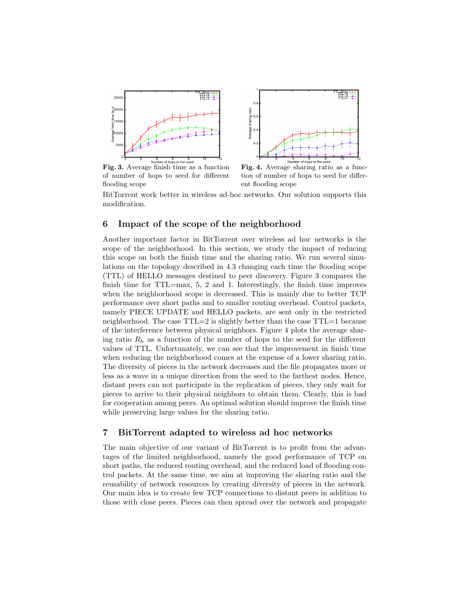

Fig. 3. Average finish time as a function of number of hops to seed for different flooding scope

Fig. 4. Average sharing ratio as a function of number of hops to seed for different flooding scope

⊞3

BitTorrent work better in wireless ad-hoc networks. Our solution supports this modification.

### 6 Impact of the scope of the neighborhood

Another important factor in BitTorrent over wireless ad hoc networks is the scope of the neighborhood. In this section, we study the impact of reducing this scope on both the finish time and the sharing ratio. We run several simulations on the topology described in 4.3 changing each time the flooding scope (TTL) of HELLO messages destined to peer discovery. Figure 3 compares the finish time for TTL=max, 5, 2 and 1. Interestingly, the finish time improves when the neighborhood scope is decreased. This is mainly due to better TCP performance over short paths and to smaller routing overhead. Control packets, namely PIECE UPDATE and HELLO packets, are sent only in the restricted neighborhood. The case  $TTL=2$  is slightly better than the case  $TTL=1$  because of the interference between physical neighbors. Figure 4 plots the average sharing ratio  $R_h$  as a function of the number of hops to the seed for the different values of TTL. Unfortunately, we can see that the improvement in finish time when reducing the neighborhood comes at the expense of a lower sharing ratio. The diversity of pieces in the network decreases and the file propagates more or less as a wave in a unique direction from the seed to the farthest nodes. Hence, distant peers can not participate in the replication of pieces, they only wait for pieces to arrive to their physical neighbors to obtain them. Clearly, this is bad for cooperation among peers. An optimal solution should improve the finish time while preserving large values for the sharing ratio.

### 7 BitTorrent adapted to wireless ad hoc networks

The main objective of our variant of BitTorrent is to profit from the advantages of the limited neighborhood, namely the good performance of TCP on short paths, the reduced routing overhead, and the reduced load of flooding control packets. At the same time, we aim at improving the sharing ratio and the reusability of network resources by creating diversity of pieces in the network. Our main idea is to create few TCP connections to distant peers in addition to those with close peers. Pieces can then spread over the network and propagate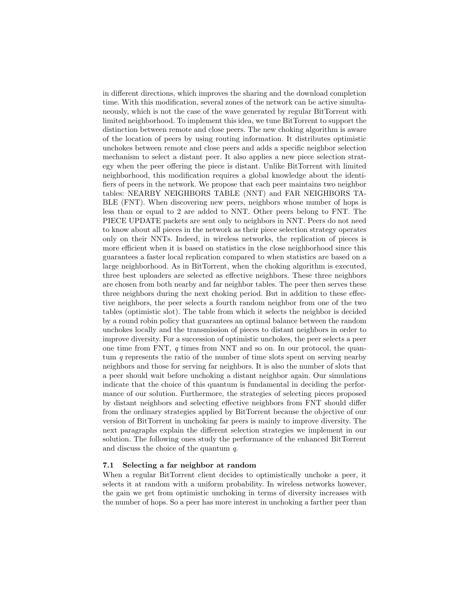in different directions, which improves the sharing and the download completion time. With this modification, several zones of the network can be active simultaneously, which is not the case of the wave generated by regular BitTorrent with limited neighborhood. To implement this idea, we tune BitTorrent to support the distinction between remote and close peers. The new choking algorithm is aware of the location of peers by using routing information. It distributes optimistic unchokes between remote and close peers and adds a specific neighbor selection mechanism to select a distant peer. It also applies a new piece selection strategy when the peer offering the piece is distant. Unlike BitTorrent with limited neighborhood, this modification requires a global knowledge about the identifiers of peers in the network. We propose that each peer maintains two neighbor tables: NEARBY NEIGHBORS TABLE (NNT) and FAR NEIGHBORS TA-BLE (FNT). When discovering new peers, neighbors whose number of hops is less than or equal to 2 are added to NNT. Other peers belong to FNT. The PIECE UPDATE packets are sent only to neighbors in NNT. Peers do not need to know about all pieces in the network as their piece selection strategy operates only on their NNTs. Indeed, in wireless networks, the replication of pieces is more efficient when it is based on statistics in the close neighborhood since this guarantees a faster local replication compared to when statistics are based on a large neighborhood. As in BitTorrent, when the choking algorithm is executed, three best uploaders are selected as effective neighbors. These three neighbors are chosen from both nearby and far neighbor tables. The peer then serves these three neighbors during the next choking period. But in addition to these effective neighbors, the peer selects a fourth random neighbor from one of the two tables (optimistic slot). The table from which it selects the neighbor is decided by a round robin policy that guarantees an optimal balance between the random unchokes locally and the transmission of pieces to distant neighbors in order to improve diversity. For a succession of optimistic unchokes, the peer selects a peer one time from FNT, q times from NNT and so on. In our protocol, the quantum q represents the ratio of the number of time slots spent on serving nearby neighbors and those for serving far neighbors. It is also the number of slots that a peer should wait before unchoking a distant neighbor again. Our simulations indicate that the choice of this quantum is fundamental in deciding the performance of our solution. Furthermore, the strategies of selecting pieces proposed by distant neighbors and selecting effective neighbors from FNT should differ from the ordinary strategies applied by BitTorrent because the objective of our version of BitTorrent in unchoking far peers is mainly to improve diversity. The next paragraphs explain the different selection strategies we implement in our solution. The following ones study the performance of the enhanced BitTorrent and discuss the choice of the quantum  $q$ .

### 7.1 Selecting a far neighbor at random

When a regular BitTorrent client decides to optimistically unchoke a peer, it selects it at random with a uniform probability. In wireless networks however, the gain we get from optimistic unchoking in terms of diversity increases with the number of hops. So a peer has more interest in unchoking a farther peer than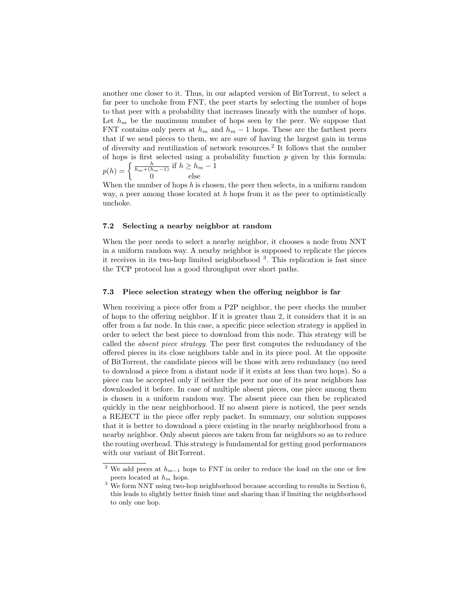another one closer to it. Thus, in our adapted version of BitTorrent, to select a far peer to unchoke from FNT, the peer starts by selecting the number of hops to that peer with a probability that increases linearly with the number of hops. Let  $h_m$  be the maximum number of hops seen by the peer. We suppose that FNT contains only peers at  $h_m$  and  $h_m - 1$  hops. These are the farthest peers that if we send pieces to them, we are sure of having the largest gain in terms of diversity and reutilization of network resources.<sup>2</sup> It follows that the number of hops is first selected using a probability function  $p$  given by this formula:  $p(h) = \begin{cases} \frac{h}{h_m + (h_m - 1)} & \text{if } h \geq h_m - 1 \end{cases}$ 0 else

When the number of hops  $h$  is chosen, the peer then selects, in a uniform random way, a peer among those located at  $h$  hops from it as the peer to optimistically unchoke.

#### 7.2 Selecting a nearby neighbor at random

When the peer needs to select a nearby neighbor, it chooses a node from NNT in a uniform random way. A nearby neighbor is supposed to replicate the pieces it receives in its two-hop limited neighborhood <sup>3</sup> . This replication is fast since the TCP protocol has a good throughput over short paths.

#### 7.3 Piece selection strategy when the offering neighbor is far

When receiving a piece offer from a P2P neighbor, the peer checks the number of hops to the offering neighbor. If it is greater than 2, it considers that it is an offer from a far node. In this case, a specific piece selection strategy is applied in order to select the best piece to download from this node. This strategy will be called the absent piece strategy. The peer first computes the redundancy of the offered pieces in its close neighbors table and in its piece pool. At the opposite of BitTorrent, the candidate pieces will be those with zero redundancy (no need to download a piece from a distant node if it exists at less than two hops). So a piece can be accepted only if neither the peer nor one of its near neighbors has downloaded it before. In case of multiple absent pieces, one piece among them is chosen in a uniform random way. The absent piece can then be replicated quickly in the near neighborhood. If no absent piece is noticed, the peer sends a REJECT in the piece offer reply packet. In summary, our solution supposes that it is better to download a piece existing in the nearby neighborhood from a nearby neighbor. Only absent pieces are taken from far neighbors so as to reduce the routing overhead. This strategy is fundamental for getting good performances with our variant of BitTorrent.

<sup>&</sup>lt;sup>2</sup> We add peers at  $h_{m-1}$  hops to FNT in order to reduce the load on the one or few peers located at  $h_m$  hops.

<sup>&</sup>lt;sup>3</sup> We form NNT using two-hop neighborhood because according to results in Section 6, this leads to slightly better finish time and sharing than if limiting the neighborhood to only one hop.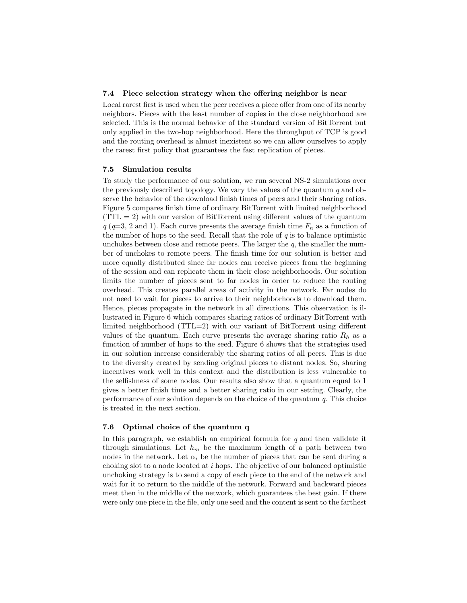#### 7.4 Piece selection strategy when the offering neighbor is near

Local rarest first is used when the peer receives a piece offer from one of its nearby neighbors. Pieces with the least number of copies in the close neighborhood are selected. This is the normal behavior of the standard version of BitTorrent but only applied in the two-hop neighborhood. Here the throughput of TCP is good and the routing overhead is almost inexistent so we can allow ourselves to apply the rarest first policy that guarantees the fast replication of pieces.

#### 7.5 Simulation results

To study the performance of our solution, we run several NS-2 simulations over the previously described topology. We vary the values of the quantum  $q$  and observe the behavior of the download finish times of peers and their sharing ratios. Figure 5 compares finish time of ordinary BitTorrent with limited neighborhood  $(TTL = 2)$  with our version of BitTorrent using different values of the quantum  $q$  ( $q=3$ , 2 and 1). Each curve presents the average finish time  $F_h$  as a function of the number of hops to the seed. Recall that the role of  $q$  is to balance optimistic unchokes between close and remote peers. The larger the  $q$ , the smaller the number of unchokes to remote peers. The finish time for our solution is better and more equally distributed since far nodes can receive pieces from the beginning of the session and can replicate them in their close neighborhoods. Our solution limits the number of pieces sent to far nodes in order to reduce the routing overhead. This creates parallel areas of activity in the network. Far nodes do not need to wait for pieces to arrive to their neighborhoods to download them. Hence, pieces propagate in the network in all directions. This observation is illustrated in Figure 6 which compares sharing ratios of ordinary BitTorrent with limited neighborhood (TTL=2) with our variant of BitTorrent using different values of the quantum. Each curve presents the average sharing ratio  $R_h$  as a function of number of hops to the seed. Figure 6 shows that the strategies used in our solution increase considerably the sharing ratios of all peers. This is due to the diversity created by sending original pieces to distant nodes. So, sharing incentives work well in this context and the distribution is less vulnerable to the selfishness of some nodes. Our results also show that a quantum equal to 1 gives a better finish time and a better sharing ratio in our setting. Clearly, the performance of our solution depends on the choice of the quantum  $q$ . This choice is treated in the next section.

### 7.6 Optimal choice of the quantum q

In this paragraph, we establish an empirical formula for  $q$  and then validate it through simulations. Let  $h_m$  be the maximum length of a path between two nodes in the network. Let  $\alpha_i$  be the number of pieces that can be sent during a choking slot to a node located at  $i$  hops. The objective of our balanced optimistic unchoking strategy is to send a copy of each piece to the end of the network and wait for it to return to the middle of the network. Forward and backward pieces meet then in the middle of the network, which guarantees the best gain. If there were only one piece in the file, only one seed and the content is sent to the farthest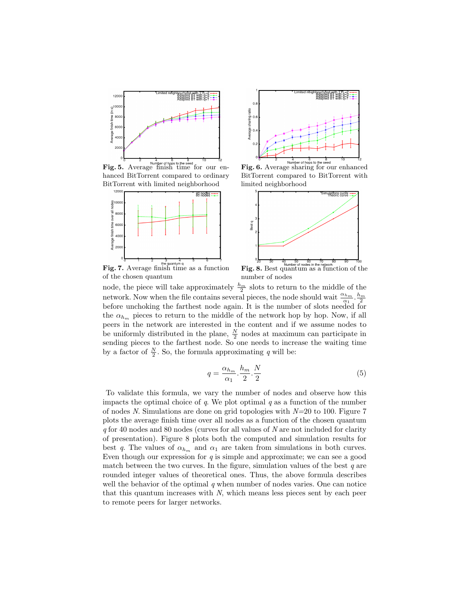

Fig. 5. Average finish time for our enhanced BitTorrent compared to ordinary BitTorrent with limited neighborhood



Fig. 7. Average finish time as a function of the chosen quantum



Fig. 6. Average sharing for our enhanced BitTorrent compared to BitTorrent with limited neighborhood



Fig. 8. Best quantum as a function of the number of nodes

node, the piece will take approximately  $\frac{h_m}{2}$  slots to return to the middle of the network. Now when the file contains several pieces, the node should wait  $\frac{\alpha_{h_m}}{\alpha_1} \cdot \frac{h_m}{2}$ before unchoking the farthest node again. It is the number of slots needed for the  $\alpha_{h_m}$  pieces to return to the middle of the network hop by hop. Now, if all peers in the network are interested in the content and if we assume nodes to be uniformly distributed in the plane,  $\frac{N}{2}$  nodes at maximum can participate in sending pieces to the farthest node. So one needs to increase the waiting time by a factor of  $\frac{N}{2}$ . So, the formula approximating q will be:

$$
q = \frac{\alpha_{h_m}}{\alpha_1} \cdot \frac{h_m}{2} \cdot \frac{N}{2} \tag{5}
$$

To validate this formula, we vary the number of nodes and observe how this impacts the optimal choice of  $q$ . We plot optimal  $q$  as a function of the number of nodes N. Simulations are done on grid topologies with  $N=20$  to 100. Figure 7 plots the average finish time over all nodes as a function of the chosen quantum q for 40 nodes and 80 nodes (curves for all values of N are not included for clarity of presentation). Figure 8 plots both the computed and simulation results for best q. The values of  $\alpha_{h_m}$  and  $\alpha_1$  are taken from simulations in both curves. Even though our expression for  $q$  is simple and approximate; we can see a good match between the two curves. In the figure, simulation values of the best  $q$  are rounded integer values of theoretical ones. Thus, the above formula describes well the behavior of the optimal  $q$  when number of nodes varies. One can notice that this quantum increases with N, which means less pieces sent by each peer to remote peers for larger networks.